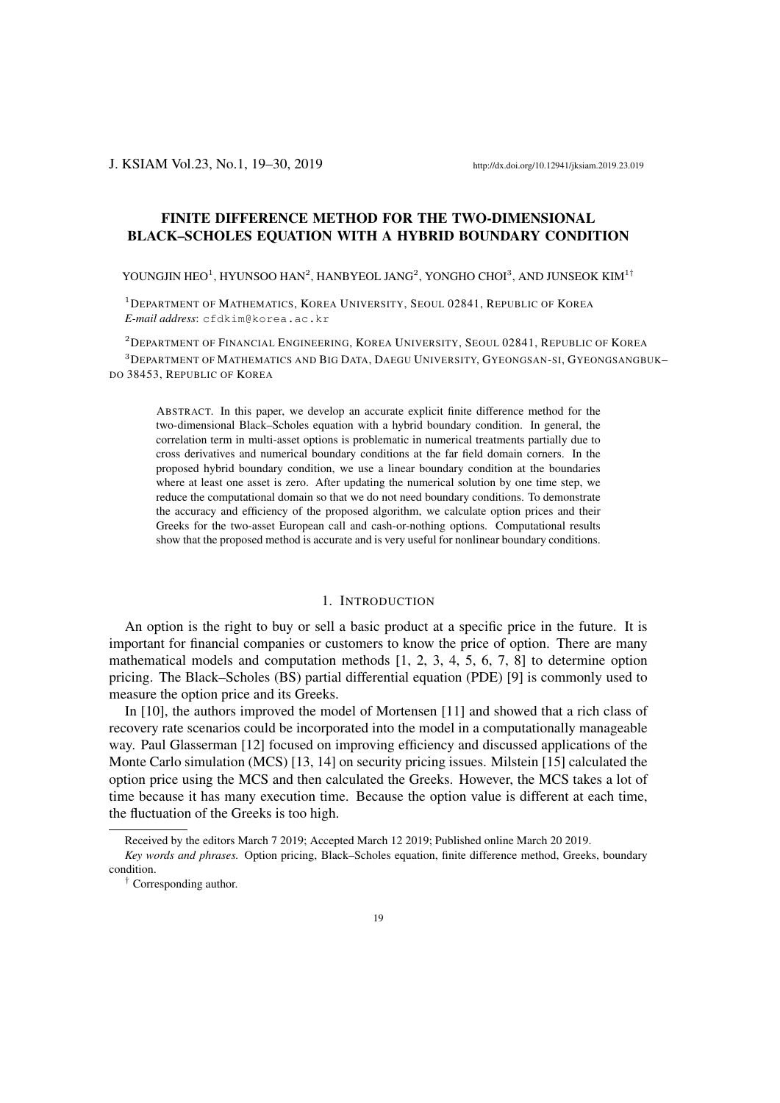# FINITE DIFFERENCE METHOD FOR THE TWO-DIMENSIONAL BLACK–SCHOLES EQUATION WITH A HYBRID BOUNDARY CONDITION

YOUNGJIN HEO<sup>1</sup>, HYUNSOO HAN<sup>2</sup>, HANBYEOL JANG<sup>2</sup>, YONGHO CHOI<sup>3</sup>, AND JUNSEOK KIM<sup>1†</sup>

<sup>1</sup>DEPARTMENT OF MATHEMATICS, KOREA UNIVERSITY, SEOUL 02841, REPUBLIC OF KOREA *E-mail address*: cfdkim@korea.ac.kr

<sup>2</sup>DEPARTMENT OF FINANCIAL ENGINEERING, KOREA UNIVERSITY, SEOUL 02841, REPUBLIC OF KOREA <sup>3</sup>DEPARTMENT OF MATHEMATICS AND BIG DATA, DAEGU UNIVERSITY, GYEONGSAN-SI, GYEONGSANGBUK– DO 38453, REPUBLIC OF KOREA

ABSTRACT. In this paper, we develop an accurate explicit finite difference method for the two-dimensional Black–Scholes equation with a hybrid boundary condition. In general, the correlation term in multi-asset options is problematic in numerical treatments partially due to cross derivatives and numerical boundary conditions at the far field domain corners. In the proposed hybrid boundary condition, we use a linear boundary condition at the boundaries where at least one asset is zero. After updating the numerical solution by one time step, we reduce the computational domain so that we do not need boundary conditions. To demonstrate the accuracy and efficiency of the proposed algorithm, we calculate option prices and their Greeks for the two-asset European call and cash-or-nothing options. Computational results show that the proposed method is accurate and is very useful for nonlinear boundary conditions.

## 1. INTRODUCTION

An option is the right to buy or sell a basic product at a specific price in the future. It is important for financial companies or customers to know the price of option. There are many mathematical models and computation methods [1, 2, 3, 4, 5, 6, 7, 8] to determine option pricing. The Black–Scholes (BS) partial differential equation (PDE) [9] is commonly used to measure the option price and its Greeks.

In [10], the authors improved the model of Mortensen [11] and showed that a rich class of recovery rate scenarios could be incorporated into the model in a computationally manageable way. Paul Glasserman [12] focused on improving efficiency and discussed applications of the Monte Carlo simulation (MCS) [13, 14] on security pricing issues. Milstein [15] calculated the option price using the MCS and then calculated the Greeks. However, the MCS takes a lot of time because it has many execution time. Because the option value is different at each time, the fluctuation of the Greeks is too high.

Received by the editors March 7 2019; Accepted March 12 2019; Published online March 20 2019.

*Key words and phrases.* Option pricing, Black–Scholes equation, finite difference method, Greeks, boundary condition.

*<sup>†</sup>* Corresponding author.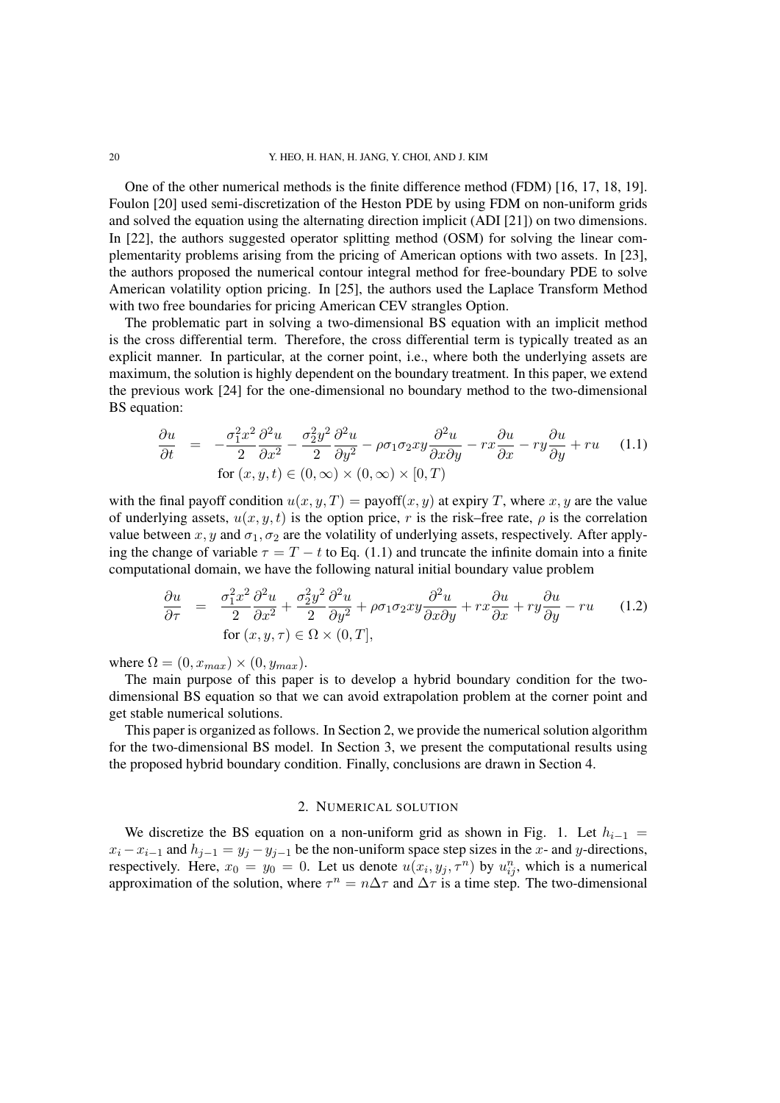One of the other numerical methods is the finite difference method (FDM) [16, 17, 18, 19]. Foulon [20] used semi-discretization of the Heston PDE by using FDM on non-uniform grids and solved the equation using the alternating direction implicit (ADI [21]) on two dimensions. In [22], the authors suggested operator splitting method (OSM) for solving the linear complementarity problems arising from the pricing of American options with two assets. In [23], the authors proposed the numerical contour integral method for free-boundary PDE to solve American volatility option pricing. In [25], the authors used the Laplace Transform Method with two free boundaries for pricing American CEV strangles Option.

The problematic part in solving a two-dimensional BS equation with an implicit method is the cross differential term. Therefore, the cross differential term is typically treated as an explicit manner. In particular, at the corner point, i.e., where both the underlying assets are maximum, the solution is highly dependent on the boundary treatment. In this paper, we extend the previous work [24] for the one-dimensional no boundary method to the two-dimensional BS equation:

$$
\frac{\partial u}{\partial t} = -\frac{\sigma_1^2 x^2}{2} \frac{\partial^2 u}{\partial x^2} - \frac{\sigma_2^2 y^2}{2} \frac{\partial^2 u}{\partial y^2} - \rho \sigma_1 \sigma_2 x y \frac{\partial^2 u}{\partial x \partial y} - r x \frac{\partial u}{\partial x} - r y \frac{\partial u}{\partial y} + r u \quad (1.1)
$$
  
for  $(x, y, t) \in (0, \infty) \times (0, \infty) \times [0, T)$ 

with the final payoff condition  $u(x, y, T) =$  payoff $(x, y)$  at expiry *T*, where *x*, *y* are the value of underlying assets,  $u(x, y, t)$  is the option price, r is the risk–free rate,  $\rho$  is the correlation value between  $x, y$  and  $\sigma_1, \sigma_2$  are the volatility of underlying assets, respectively. After applying the change of variable  $\tau = T - t$  to Eq. (1.1) and truncate the infinite domain into a finite computational domain, we have the following natural initial boundary value problem

$$
\frac{\partial u}{\partial \tau} = \frac{\sigma_1^2 x^2}{2} \frac{\partial^2 u}{\partial x^2} + \frac{\sigma_2^2 y^2}{2} \frac{\partial^2 u}{\partial y^2} + \rho \sigma_1 \sigma_2 xy \frac{\partial^2 u}{\partial x \partial y} + rx \frac{\partial u}{\partial x} + ry \frac{\partial u}{\partial y} - ru \quad (1.2)
$$
  
for  $(x, y, \tau) \in \Omega \times (0, T]$ ,

where  $\Omega = (0, x_{max}) \times (0, y_{max})$ .

The main purpose of this paper is to develop a hybrid boundary condition for the twodimensional BS equation so that we can avoid extrapolation problem at the corner point and get stable numerical solutions.

This paper is organized as follows. In Section 2, we provide the numerical solution algorithm for the two-dimensional BS model. In Section 3, we present the computational results using the proposed hybrid boundary condition. Finally, conclusions are drawn in Section 4.

### 2. NUMERICAL SOLUTION

We discretize the BS equation on a non-uniform grid as shown in Fig. 1. Let  $h_{i-1}$  =  $x_i - x_{i-1}$  and  $h_{j-1} = y_j - y_{j-1}$  be the non-uniform space step sizes in the *x*- and *y*-directions, respectively. Here,  $x_0 = y_0 = 0$ . Let us denote  $u(x_i, y_j, \tau^n)$  by  $u_{ij}^n$ , which is a numerical approximation of the solution, where  $\tau^n = n\Delta\tau$  and  $\Delta\tau$  is a time step. The two-dimensional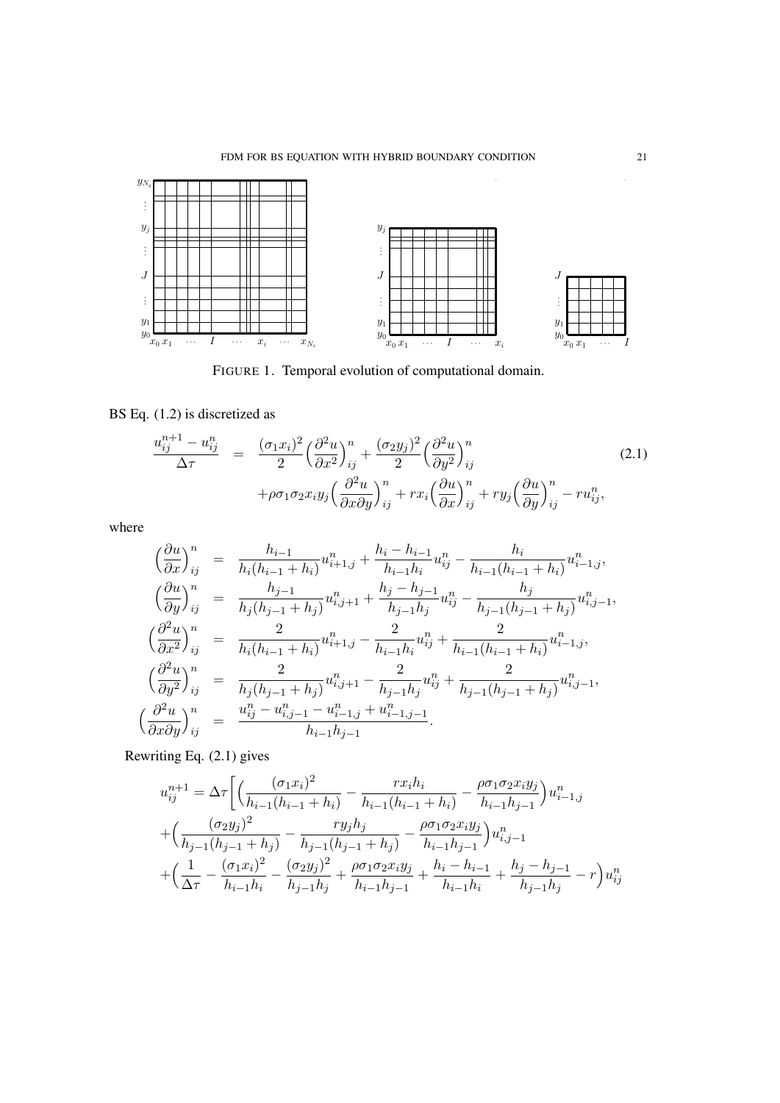

FIGURE 1. Temporal evolution of computational domain.

BS Eq. (1.2) is discretized as

$$
\frac{u_{ij}^{n+1} - u_{ij}^n}{\Delta \tau} = \frac{(\sigma_1 x_i)^2}{2} \left(\frac{\partial^2 u}{\partial x^2}\right)_{ij}^n + \frac{(\sigma_2 y_j)^2}{2} \left(\frac{\partial^2 u}{\partial y^2}\right)_{ij}^n + \rho \sigma_1 \sigma_2 x_i y_j \left(\frac{\partial^2 u}{\partial x \partial y}\right)_{ij}^n + r x_i \left(\frac{\partial u}{\partial x}\right)_{ij}^n + r y_j \left(\frac{\partial u}{\partial y}\right)_{ij}^n - r u_{ij}^n,
$$
\n(2.1)

where

$$
\begin{aligned}\n\left(\frac{\partial u}{\partial x}\right)_{ij}^{n} &= \frac{h_{i-1}}{h_{i}(h_{i-1}+h_{i})}u_{i+1,j}^{n} + \frac{h_{i}-h_{i-1}}{h_{i-1}h_{i}}u_{ij}^{n} - \frac{h_{i}}{h_{i-1}(h_{i-1}+h_{i})}u_{i-1,j}^{n}, \\
\left(\frac{\partial u}{\partial y}\right)_{ij}^{n} &= \frac{h_{j-1}}{h_{j}(h_{j-1}+h_{j})}u_{i,j+1}^{n} + \frac{h_{j}-h_{j-1}}{h_{j-1}h_{j}}u_{ij}^{n} - \frac{h_{j}}{h_{j-1}(h_{j-1}+h_{j})}u_{i,j-1}^{n}, \\
\left(\frac{\partial^{2} u}{\partial x^{2}}\right)_{ij}^{n} &= \frac{2}{h_{i}(h_{i-1}+h_{i})}u_{i+1,j}^{n} - \frac{2}{h_{i-1}h_{i}}u_{ij}^{n} + \frac{2}{h_{i-1}(h_{i-1}+h_{i})}u_{i-1,j}^{n}, \\
\left(\frac{\partial^{2} u}{\partial y^{2}}\right)_{ij}^{n} &= \frac{2}{h_{j}(h_{j-1}+h_{j})}u_{i,j+1}^{n} - \frac{2}{h_{j-1}h_{j}}u_{ij}^{n} + \frac{2}{h_{j-1}(h_{j-1}+h_{j})}u_{i,j-1}^{n}, \\
\left(\frac{\partial^{2} u}{\partial x \partial y}\right)_{ij}^{n} &= \frac{u_{ij}^{n} - u_{i,j-1}^{n} - u_{i-1,j}^{n} + u_{i-1,j-1}^{n}}{h_{i-1}h_{j-1}}.\n\end{aligned}
$$

Rewriting Eq. (2.1) gives

$$
u_{ij}^{n+1} = \Delta \tau \left[ \left( \frac{(\sigma_1 x_i)^2}{h_{i-1}(h_{i-1} + h_i)} - \frac{rx_i h_i}{h_{i-1}(h_{i-1} + h_i)} - \frac{\rho \sigma_1 \sigma_2 x_i y_j}{h_{i-1} h_{j-1}} \right) u_{i-1,j}^n \right]
$$

$$
+ \left( \frac{(\sigma_2 y_j)^2}{h_{j-1}(h_{j-1} + h_j)} - \frac{ry_j h_j}{h_{j-1}(h_{j-1} + h_j)} - \frac{\rho \sigma_1 \sigma_2 x_i y_j}{h_{i-1} h_{j-1}} \right) u_{i,j-1}^n
$$

$$
+ \left( \frac{1}{\Delta \tau} - \frac{(\sigma_1 x_i)^2}{h_{i-1} h_i} - \frac{(\sigma_2 y_j)^2}{h_{j-1} h_j} + \frac{\rho \sigma_1 \sigma_2 x_i y_j}{h_{i-1} h_{j-1}} + \frac{h_i - h_{i-1}}{h_{i-1} h_i} + \frac{h_j - h_{j-1}}{h_{j-1} h_j} - r \right) u_{ij}^n
$$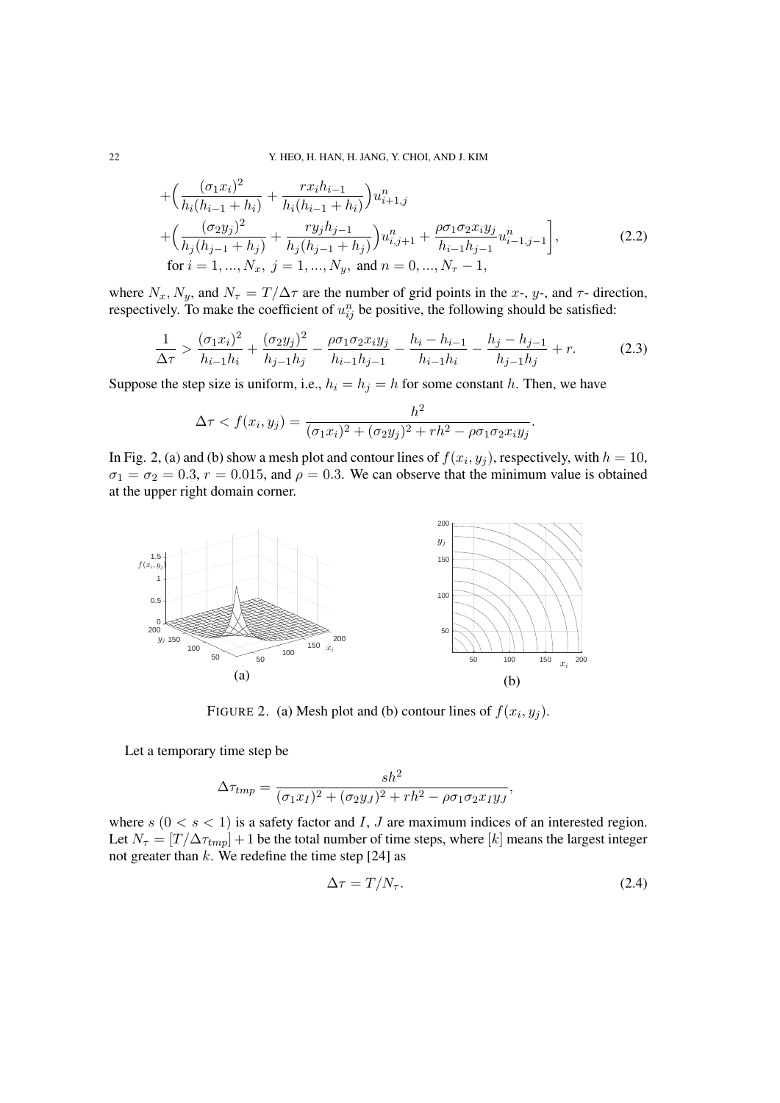$$
+\left(\frac{(\sigma_1 x_i)^2}{h_i(h_{i-1} + h_i)} + \frac{rx_ih_{i-1}}{h_i(h_{i-1} + h_i)}\right)u_{i+1,j}^n
$$
  
+
$$
\left(\frac{(\sigma_2 y_j)^2}{h_j(h_{j-1} + h_j)} + \frac{ry_jh_{j-1}}{h_j(h_{j-1} + h_j)}\right)u_{i,j+1}^n + \frac{\rho\sigma_1\sigma_2 x_iy_j}{h_{i-1}h_{j-1}}u_{i-1,j-1}^n,
$$
  
for  $i = 1, ..., N_x, j = 1, ..., N_y$ , and  $n = 0, ..., N_\tau - 1$ , (2.2)

where  $N_x$ ,  $N_y$ , and  $N_\tau = T/\Delta \tau$  are the number of grid points in the *x*-, *y*-, and  $\tau$ - direction, respectively. To make the coefficient of  $u_{ij}^n$  be positive, the following should be satisfied:

$$
\frac{1}{\Delta \tau} > \frac{(\sigma_1 x_i)^2}{h_{i-1} h_i} + \frac{(\sigma_2 y_j)^2}{h_{j-1} h_j} - \frac{\rho \sigma_1 \sigma_2 x_i y_j}{h_{i-1} h_{j-1}} - \frac{h_i - h_{i-1}}{h_{i-1} h_i} - \frac{h_j - h_{j-1}}{h_{j-1} h_j} + r.
$$
 (2.3)

Suppose the step size is uniform, i.e.,  $h_i = h_j = h$  for some constant *h*. Then, we have

$$
\Delta \tau < f(x_i, y_j) = \frac{h^2}{(\sigma_1 x_i)^2 + (\sigma_2 y_j)^2 + rh^2 - \rho \sigma_1 \sigma_2 x_i y_j}.
$$

In Fig. 2, (a) and (b) show a mesh plot and contour lines of  $f(x_i, y_j)$ , respectively, with  $h = 10$ ,  $\sigma_1 = \sigma_2 = 0.3$ ,  $r = 0.015$ , and  $\rho = 0.3$ . We can observe that the minimum value is obtained at the upper right domain corner.



FIGURE 2. (a) Mesh plot and (b) contour lines of  $f(x_i, y_j)$ .

Let a temporary time step be

$$
\Delta \tau_{tmp} = \frac{sh^2}{(\sigma_1 x_I)^2 + (\sigma_2 y_J)^2 + rh^2 - \rho \sigma_1 \sigma_2 x_I y_J},
$$

where  $s$  ( $0 < s < 1$ ) is a safety factor and *I*, *J* are maximum indices of an interested region. Let  $N_{\tau} = [T/\Delta \tau_{tmp}] + 1$  be the total number of time steps, where [k] means the largest integer not greater than *k*. We redefine the time step [24] as

$$
\Delta \tau = T/N_{\tau}.\tag{2.4}
$$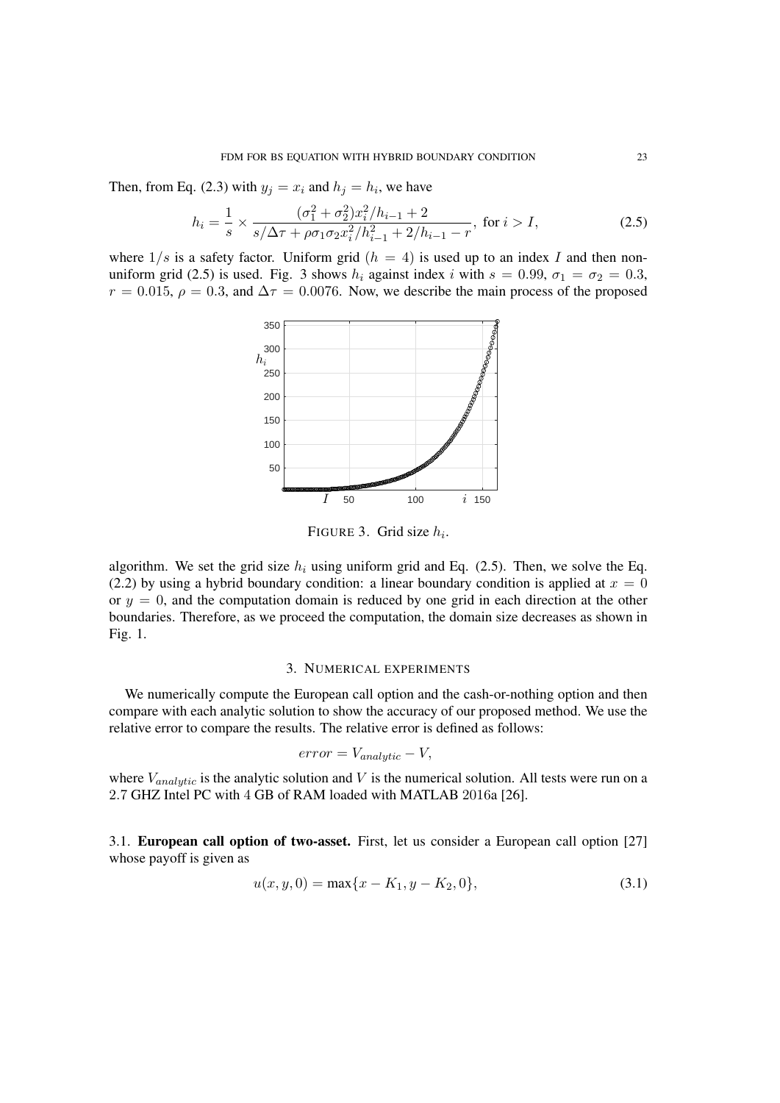Then, from Eq. (2.3) with  $y_j = x_i$  and  $h_j = h_i$ , we have

$$
h_i = \frac{1}{s} \times \frac{(\sigma_1^2 + \sigma_2^2)x_i^2/h_{i-1} + 2}{s/\Delta\tau + \rho\sigma_1\sigma_2x_i^2/h_{i-1}^2 + 2/h_{i-1} - r}, \text{ for } i > I,
$$
 (2.5)

where  $1/s$  is a safety factor. Uniform grid  $(h = 4)$  is used up to an index *I* and then nonuniform grid (2.5) is used. Fig. 3 shows  $h_i$  against index *i* with  $s = 0.99$ ,  $\sigma_1 = \sigma_2 = 0.3$ ,  $r = 0.015$ ,  $\rho = 0.3$ , and  $\Delta \tau = 0.0076$ . Now, we describe the main process of the proposed



FIGURE 3. Grid size *h<sup>i</sup>* .

algorithm. We set the grid size  $h_i$  using uniform grid and Eq. (2.5). Then, we solve the Eq. (2.2) by using a hybrid boundary condition: a linear boundary condition is applied at  $x = 0$ or  $y = 0$ , and the computation domain is reduced by one grid in each direction at the other boundaries. Therefore, as we proceed the computation, the domain size decreases as shown in Fig. 1.

#### 3. NUMERICAL EXPERIMENTS

We numerically compute the European call option and the cash-or-nothing option and then compare with each analytic solution to show the accuracy of our proposed method. We use the relative error to compare the results. The relative error is defined as follows:

$$
error = V_{analytic} - V,
$$

where  $V_{analytic}$  is the analytic solution and V is the numerical solution. All tests were run on a 2*.*7 GHZ Intel PC with 4 GB of RAM loaded with MATLAB 2016a [26].

3.1. European call option of two-asset. First, let us consider a European call option [27] whose payoff is given as

$$
u(x, y, 0) = \max\{x - K_1, y - K_2, 0\},\tag{3.1}
$$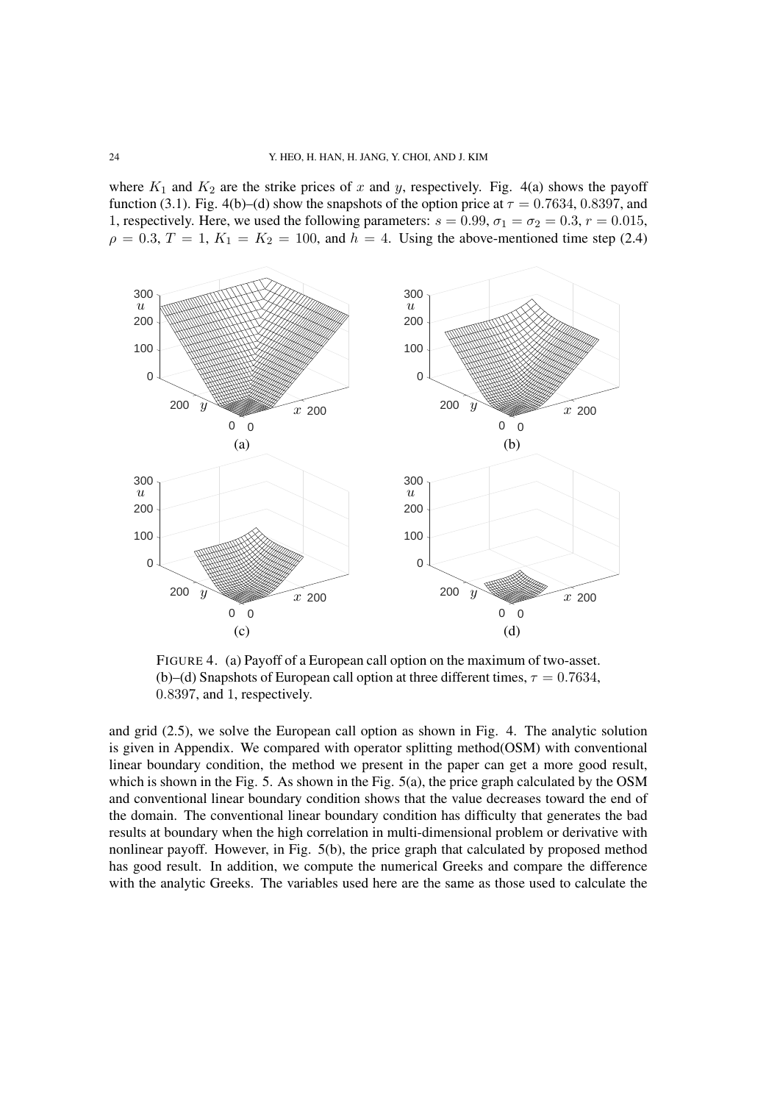where  $K_1$  and  $K_2$  are the strike prices of x and y, respectively. Fig. 4(a) shows the payoff function (3.1). Fig. 4(b)–(d) show the snapshots of the option price at  $\tau = 0.7634$ , 0.8397, and 1, respectively. Here, we used the following parameters:  $s = 0.99$ ,  $\sigma_1 = \sigma_2 = 0.3$ ,  $r = 0.015$ ,  $\rho = 0.3, T = 1, K_1 = K_2 = 100$ , and  $h = 4$ . Using the above-mentioned time step (2.4)



FIGURE 4. (a) Payoff of a European call option on the maximum of two-asset. (b)–(d) Snapshots of European call option at three different times,  $\tau = 0.7634$ , 0*.*8397, and 1, respectively.

and grid (2.5), we solve the European call option as shown in Fig. 4. The analytic solution is given in Appendix. We compared with operator splitting method(OSM) with conventional linear boundary condition, the method we present in the paper can get a more good result, which is shown in the Fig. 5. As shown in the Fig.  $5(a)$ , the price graph calculated by the OSM and conventional linear boundary condition shows that the value decreases toward the end of the domain. The conventional linear boundary condition has difficulty that generates the bad results at boundary when the high correlation in multi-dimensional problem or derivative with nonlinear payoff. However, in Fig. 5(b), the price graph that calculated by proposed method has good result. In addition, we compute the numerical Greeks and compare the difference with the analytic Greeks. The variables used here are the same as those used to calculate the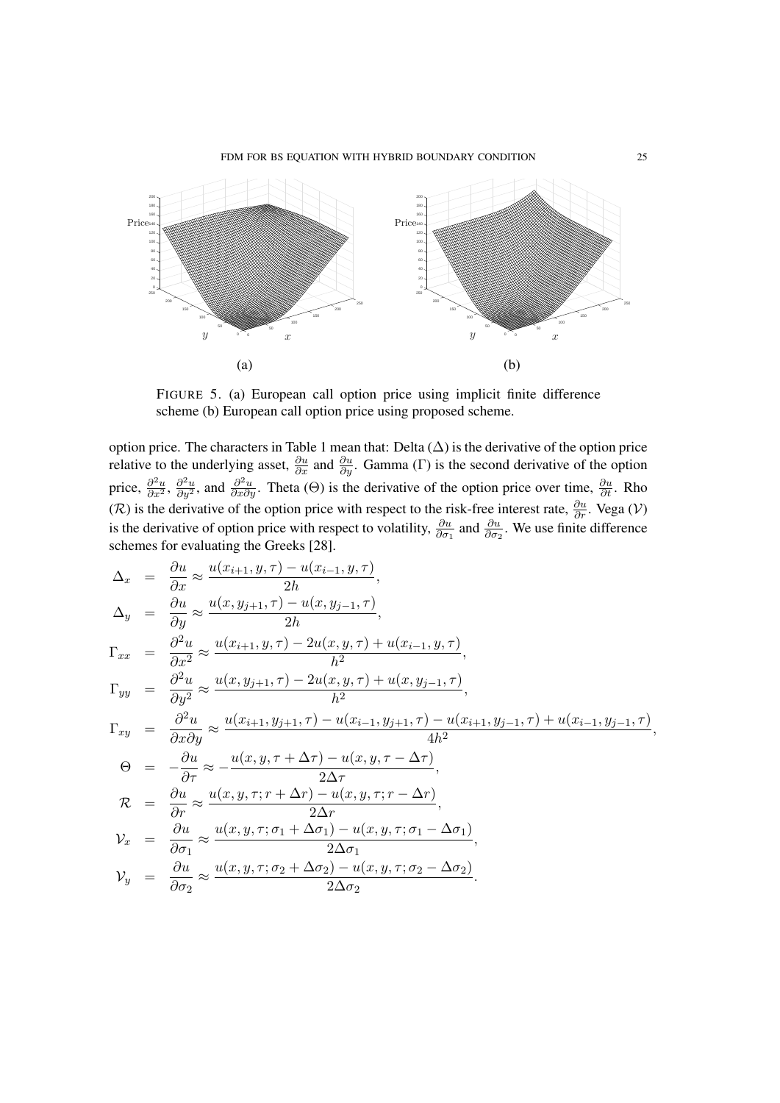

FIGURE 5. (a) European call option price using implicit finite difference scheme (b) European call option price using proposed scheme.

option price. The characters in Table 1 mean that: Delta  $(\Delta)$  is the derivative of the option price relative to the underlying asset,  $\frac{\partial u}{\partial x}$  and  $\frac{\partial u}{\partial y}$ . Gamma (Γ) is the second derivative of the option price,  $\frac{\partial^2 u}{\partial x^2}$ ,  $\frac{\partial^2 u}{\partial y^2}$ , and  $\frac{\partial^2 u}{\partial x \partial y}$ . Theta ( $\Theta$ ) is the derivative of the option price over time,  $\frac{\partial u}{\partial t}$ . Rho (*R*) is the derivative of the option price with respect to the risk-free interest rate,  $\frac{\partial u}{\partial r}$ . Vega (*V*) is the derivative of option price with respect to volatility,  $\frac{\partial u}{\partial \sigma_1}$  and  $\frac{\partial u}{\partial \sigma_2}$ . We use finite difference schemes for evaluating the Greeks [28].

$$
\Delta_x = \frac{\partial u}{\partial x} \approx \frac{u(x_{i+1}, y, \tau) - u(x_{i-1}, y, \tau)}{2h},
$$
  
\n
$$
\Delta_y = \frac{\partial u}{\partial y} \approx \frac{u(x, y_{j+1}, \tau) - u(x, y_{j-1}, \tau)}{2h},
$$
  
\n
$$
\Gamma_{xx} = \frac{\partial^2 u}{\partial x^2} \approx \frac{u(x_{i+1}, y, \tau) - 2u(x, y, \tau) + u(x_{i-1}, y, \tau)}{h^2},
$$
  
\n
$$
\Gamma_{yy} = \frac{\partial^2 u}{\partial y^2} \approx \frac{u(x, y_{j+1}, \tau) - 2u(x, y, \tau) + u(x, y_{j-1}, \tau)}{h^2},
$$
  
\n
$$
\Gamma_{xy} = \frac{\partial^2 u}{\partial x \partial y} \approx \frac{u(x_{i+1}, y_{j+1}, \tau) - u(x_{i-1}, y_{j+1}, \tau) - u(x_{i+1}, y_{j-1}, \tau) + u(x_{i-1}, y_{j-1}, \tau)}{4h^2},
$$
  
\n
$$
\Theta = -\frac{\partial u}{\partial \tau} \approx -\frac{u(x, y, \tau + \Delta \tau) - u(x, y, \tau - \Delta \tau)}{2\Delta \tau},
$$
  
\n
$$
\mathcal{R} = \frac{\partial u}{\partial r} \approx \frac{u(x, y, \tau; r + \Delta r) - u(x, y, \tau; r - \Delta r)}{2\Delta r},
$$
  
\n
$$
\mathcal{V}_x = \frac{\partial u}{\partial \sigma_1} \approx \frac{u(x, y, \tau; \sigma_1 + \Delta \sigma_1) - u(x, y, \tau; \sigma_1 - \Delta \sigma_1)}{2\Delta \sigma_1},
$$
  
\n
$$
\mathcal{V}_y = \frac{\partial u}{\partial \sigma_2} \approx \frac{u(x, y, \tau; \sigma_2 + \Delta \sigma_2) - u(x, y, \tau; \sigma_2 - \Delta \sigma_2)}{2\Delta \sigma_2}.
$$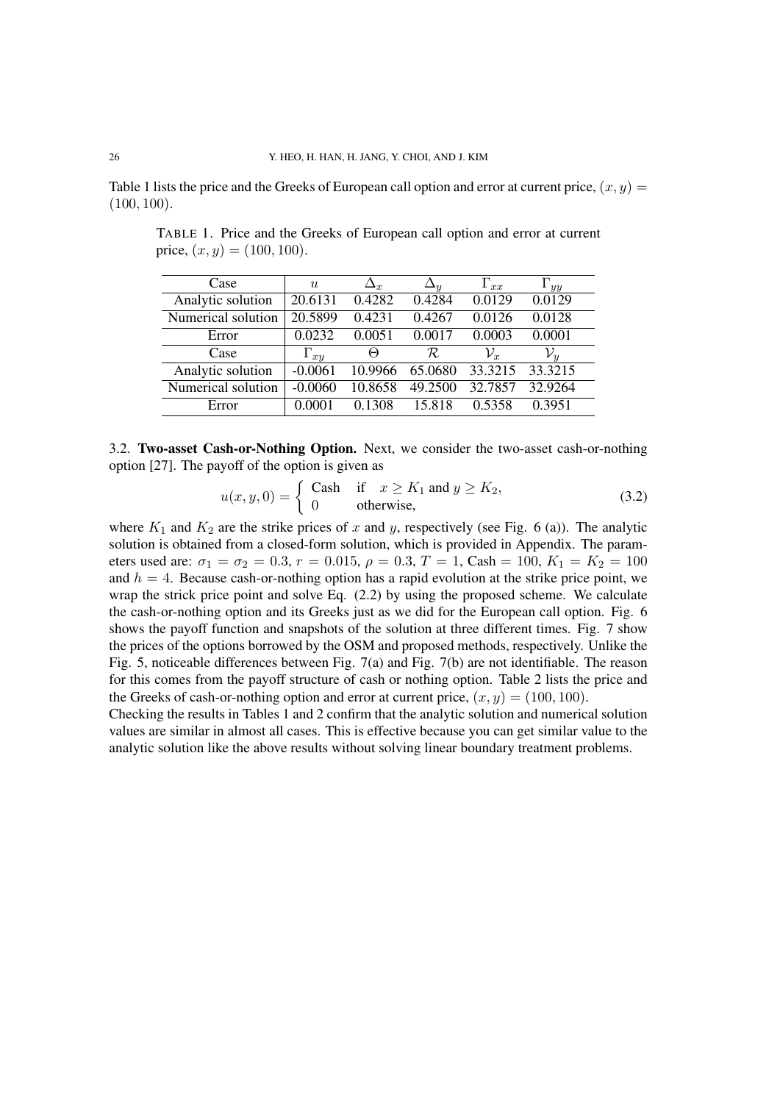Table 1 lists the price and the Greeks of European call option and error at current price,  $(x, y)$ (100*,* 100).

| Case               | u             | $\Delta_{\bm r}$ | $\Delta_y$ | $\Gamma_{xx}$   | $\Gamma_{yy}$   |
|--------------------|---------------|------------------|------------|-----------------|-----------------|
| Analytic solution  | 20.6131       | 0.4282           | 0.4284     | 0.0129          | 0.0129          |
| Numerical solution | 20.5899       | 0.4231           | 0.4267     | 0.0126          | 0.0128          |
| Error              | 0.0232        | 0.0051           | 0.0017     | 0.0003          | 0.0001          |
| Case               | $\Gamma_{xy}$ | $_{(\neg)}$      | R          | $\mathcal{V}_x$ | $\mathcal{V}_u$ |
| Analytic solution  | $-0.0061$     | 10.9966          | 65.0680    | 33.3215         | 33.3215         |
| Numerical solution | $-0.0060$     | 10.8658          | 49.2500    | 32.7857         | 32.9264         |
| Error              | 0.0001        | 0.1308           | 15.818     | 0.5358          | 0.3951          |

TABLE 1. Price and the Greeks of European call option and error at current price,  $(x, y) = (100, 100)$ .

3.2. Two-asset Cash-or-Nothing Option. Next, we consider the two-asset cash-or-nothing option [27]. The payoff of the option is given as

$$
u(x, y, 0) = \begin{cases} \text{Cash} & \text{if } x \ge K_1 \text{ and } y \ge K_2, \\ 0 & \text{otherwise,} \end{cases}
$$
 (3.2)

where  $K_1$  and  $K_2$  are the strike prices of x and y, respectively (see Fig. 6 (a)). The analytic solution is obtained from a closed-form solution, which is provided in Appendix. The parameters used are:  $\sigma_1 = \sigma_2 = 0.3$ ,  $r = 0.015$ ,  $\rho = 0.3$ ,  $T = 1$ , Cash = 100,  $K_1 = K_2 = 100$ and  $h = 4$ . Because cash-or-nothing option has a rapid evolution at the strike price point, we wrap the strick price point and solve Eq. (2.2) by using the proposed scheme. We calculate the cash-or-nothing option and its Greeks just as we did for the European call option. Fig. 6 shows the payoff function and snapshots of the solution at three different times. Fig. 7 show the prices of the options borrowed by the OSM and proposed methods, respectively. Unlike the Fig. 5, noticeable differences between Fig. 7(a) and Fig. 7(b) are not identifiable. The reason for this comes from the payoff structure of cash or nothing option. Table 2 lists the price and the Greeks of cash-or-nothing option and error at current price,  $(x, y) = (100, 100)$ .

Checking the results in Tables 1 and 2 confirm that the analytic solution and numerical solution values are similar in almost all cases. This is effective because you can get similar value to the analytic solution like the above results without solving linear boundary treatment problems.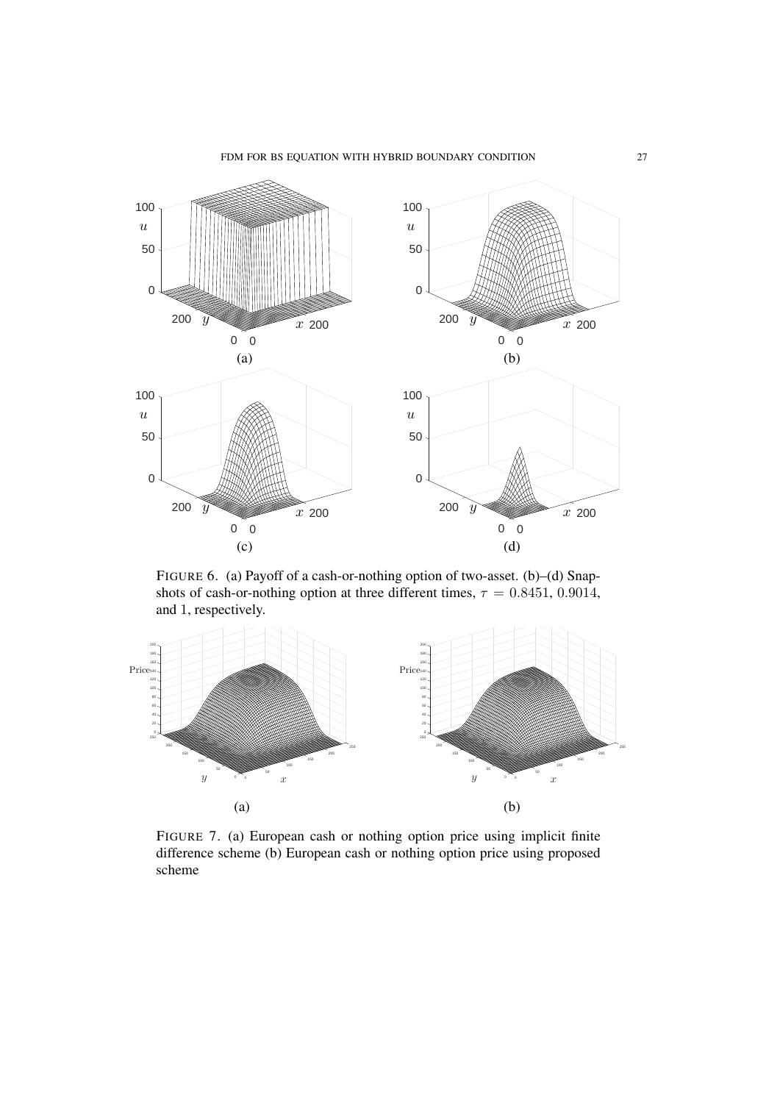

FIGURE 6. (a) Payoff of a cash-or-nothing option of two-asset. (b)–(d) Snapshots of cash-or-nothing option at three different times,  $\tau = 0.8451, 0.9014$ , and 1, respectively.



FIGURE 7. (a) European cash or nothing option price using implicit finite difference scheme (b) European cash or nothing option price using proposed scheme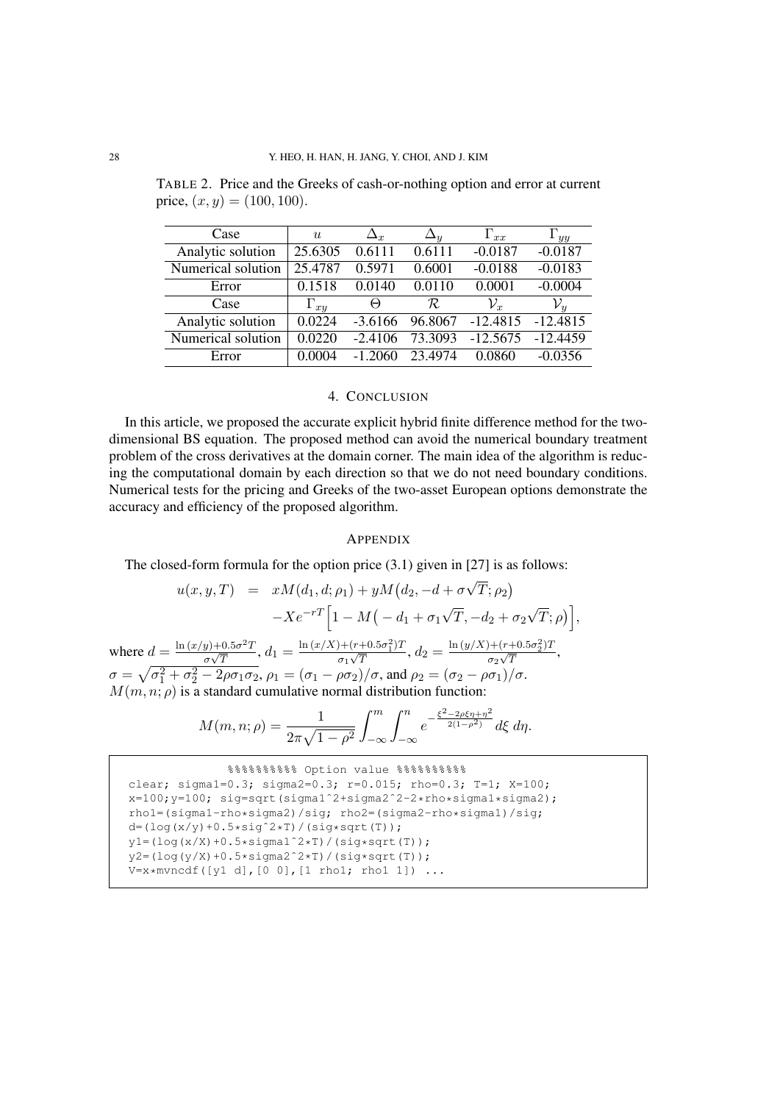TABLE 2. Price and the Greeks of cash-or-nothing option and error at current price,  $(x, y) = (100, 100)$ .

| Case               | $\boldsymbol{u}$ | $\Delta_x$ | $\Delta_y$ | $\Gamma_{xx}$   | $\mathbf{1}_{yy}$ |
|--------------------|------------------|------------|------------|-----------------|-------------------|
| Analytic solution  | 25.6305          | 0.6111     | 0.6111     | $-0.0187$       | $-0.0187$         |
| Numerical solution | 25.4787          | 0.5971     | 0.6001     | $-0.0188$       | $-0.0183$         |
| Error              | 0.1518           | 0.0140     | 0.0110     | 0.0001          | $-0.0004$         |
| Case               | $\Gamma_{xy}$    | $\Theta$   | R          | $\mathcal{V}_x$ | $\mathcal{V}_u$   |
| Analytic solution  | 0.0224           | $-3.6166$  | 96.8067    | $-12.4815$      | $-12.4815$        |
| Numerical solution | 0.0220           | $-2.4106$  | 73.3093    | $-12.5675$      | $-12.4459$        |
| Error              | 0.0004           | $-1,2060$  | 23.4974    | 0.0860          | $-0.0356$         |

## 4. CONCLUSION

In this article, we proposed the accurate explicit hybrid finite difference method for the twodimensional BS equation. The proposed method can avoid the numerical boundary treatment problem of the cross derivatives at the domain corner. The main idea of the algorithm is reducing the computational domain by each direction so that we do not need boundary conditions. Numerical tests for the pricing and Greeks of the two-asset European options demonstrate the accuracy and efficiency of the proposed algorithm.

## APPENDIX

The closed-form formula for the option price (3.1) given in [27] is as follows:

$$
u(x, y, T) = xM(d_1, d; \rho_1) + yM(d_2, -d + \sigma\sqrt{T}; \rho_2)
$$
  

$$
-Xe^{-rT}\Big[1 - M\big(-d_1 + \sigma_1\sqrt{T}, -d_2 + \sigma_2\sqrt{T}; \rho\big)\Big],
$$
  
where  $d = \frac{\ln(x/y) + 0.5\sigma^2 T}{\sigma\sqrt{T}}, d_1 = \frac{\ln(x/X) + (r + 0.5\sigma_1^2)T}{\sigma_1\sqrt{T}}, d_2 = \frac{\ln(y/X) + (r + 0.5\sigma_2^2)T}{\sigma_2\sqrt{T}},$   
 $\sigma = \sqrt{\sigma_1^2 + \sigma_2^2 - 2\rho\sigma_1\sigma_2}, \rho_1 = (\sigma_1 - \rho\sigma_2)/\sigma, \text{ and } \rho_2 = (\sigma_2 - \rho\sigma_1)/\sigma.$ 

 $M(m, n; \rho)$  is a standard cumulative normal distribution function:

$$
M(m, n; \rho) = \frac{1}{2\pi\sqrt{1-\rho^2}} \int_{-\infty}^m \int_{-\infty}^n e^{-\frac{\xi^2 - 2\rho\xi\eta + \eta^2}{2(1-\rho^2)}} d\xi \, d\eta.
$$

```
%%%%%%%%%% Option value %%%%%%%%%%
clear; sigma1=0.3; sigma2=0.3; r=0.015; rho=0.3; T=1; X=100;
x=100;y=100; sig=sqrt(sigma1ˆ2+sigma2ˆ2-2*rho*sigma1*sigma2);
rho1=(sigma1-rho*sigma2)/sig; rho2=(sigma2-rho*sigma1)/sig;
d=(\log(x/y)+0.5*sig^2*T)/(sig*sqrt(T));y1 = (log(x/X) + 0.5*signal^2*T)/(sig*sqrt(T));y2 = (log(y/X) + 0.5 * sigma2^2 * T) / (sig*sqrt(T));V=x*mvncdf([y1 d],[0 0],[1 rho1; rho1 1]) ...
```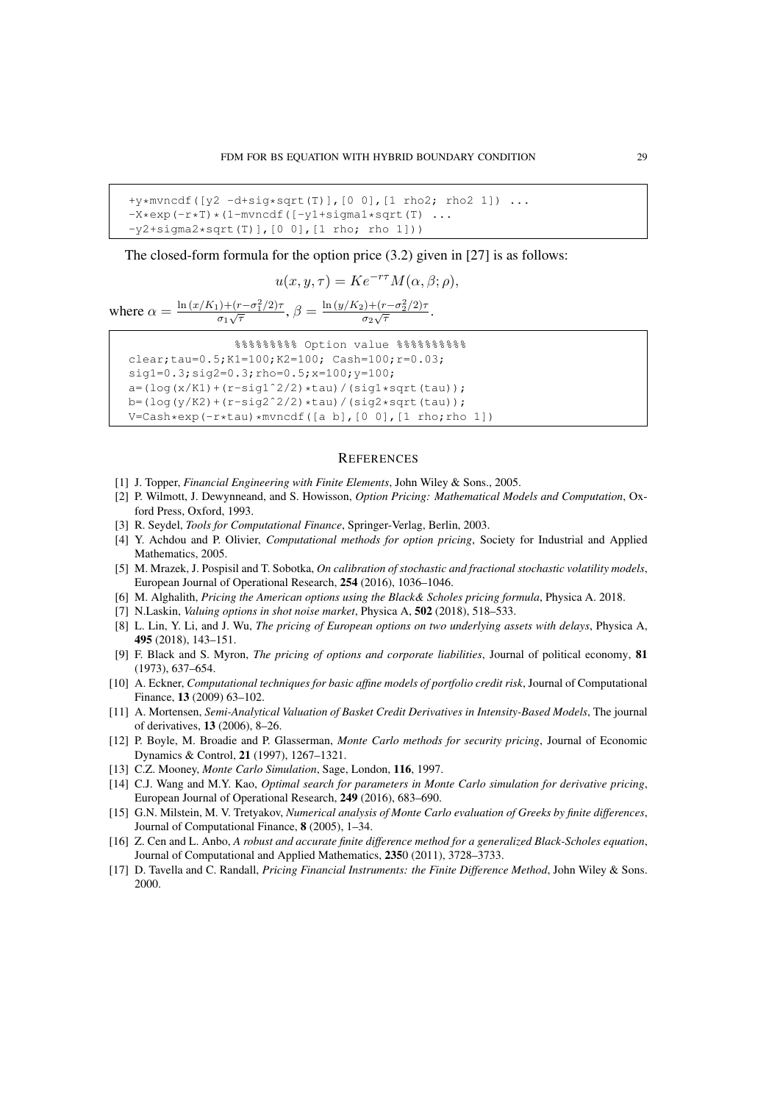```
+y*mvncdf([y2 -d+sig*sqrt(T)],[0 0],[1 rho2; rho2 1]) ...
-X*exp(-r*T)*(1-mvncdf([-y1+signal*sqrt(T) ...-y2+sigma2*sqrt(T)], [0 0], [1 rho; rho 1]))
```
The closed-form formula for the option price (3.2) given in [27] is as follows:

$$
u(x, y, \tau) = Ke^{-r\tau}M(\alpha, \beta; \rho),
$$

where  $\alpha = \frac{\ln{(x/K_1)+(r-\sigma_1^2/2)\tau}}{\sigma_1\sqrt{\tau}}$  $\frac{\partial^2 f}{\partial \sigma_1 \sqrt{\tau}}, \beta = \frac{\ln{(y/K_2)+(r-\sigma_2^2/2)\tau}}{\sigma_2 \sqrt{\tau}}$  $\frac{\sigma_2\sqrt{\tau}}{\sigma_2\sqrt{\tau}}$ .

```
%%%%%%%%% Option value %%%%%%%%%%
clear;tau=0.5;K1=100;K2=100; Cash=100;r=0.03;
sig1=0.3;sig2=0.3;rho=0.5;x=100;y=100;
a=(\log(x/K1)+(r-sig1^2/2)*tau) / (sigl *sqrt(tau));
b=(log(y/K2)+(r-sig2^2/2)*tau)/(sig2*sqrt(tau));
V=Cash*exp(-r*tau)*mvncdf([a b],[0 0],[1 rho;rho 1])
```
#### **REFERENCES**

- [1] J. Topper, *Financial Engineering with Finite Elements*, John Wiley & Sons., 2005.
- [2] P. Wilmott, J. Dewynneand, and S. Howisson, *Option Pricing: Mathematical Models and Computation*, Oxford Press, Oxford, 1993.
- [3] R. Seydel, *Tools for Computational Finance*, Springer-Verlag, Berlin, 2003.
- [4] Y. Achdou and P. Olivier, *Computational methods for option pricing*, Society for Industrial and Applied Mathematics, 2005.
- [5] M. Mrazek, J. Pospisil and T. Sobotka, *On calibration of stochastic and fractional stochastic volatility models*, European Journal of Operational Research, 254 (2016), 1036–1046.
- [6] M. Alghalith, *Pricing the American options using the Black& Scholes pricing formula*, Physica A. 2018.
- [7] N.Laskin, *Valuing options in shot noise market*, Physica A, 502 (2018), 518–533.
- [8] L. Lin, Y. Li, and J. Wu, *The pricing of European options on two underlying assets with delays*, Physica A, 495 (2018), 143–151.
- [9] F. Black and S. Myron, *The pricing of options and corporate liabilities*, Journal of political economy, 81 (1973), 637–654.
- [10] A. Eckner, *Computational techniques for basic affine models of portfolio credit risk*, Journal of Computational Finance, 13 (2009) 63–102.
- [11] A. Mortensen, *Semi-Analytical Valuation of Basket Credit Derivatives in Intensity-Based Models*, The journal of derivatives, 13 (2006), 8–26.
- [12] P. Boyle, M. Broadie and P. Glasserman, *Monte Carlo methods for security pricing*, Journal of Economic Dynamics & Control, 21 (1997), 1267–1321.
- [13] C.Z. Mooney, *Monte Carlo Simulation*, Sage, London, 116, 1997.
- [14] C.J. Wang and M.Y. Kao, *Optimal search for parameters in Monte Carlo simulation for derivative pricing*, European Journal of Operational Research, 249 (2016), 683–690.
- [15] G.N. Milstein, M. V. Tretyakov, *Numerical analysis of Monte Carlo evaluation of Greeks by finite differences*, Journal of Computational Finance, 8 (2005), 1–34.
- [16] Z. Cen and L. Anbo, *A robust and accurate finite difference method for a generalized Black-Scholes equation*, Journal of Computational and Applied Mathematics, 2350 (2011), 3728–3733.
- [17] D. Tavella and C. Randall, *Pricing Financial Instruments: the Finite Difference Method*, John Wiley & Sons. 2000.